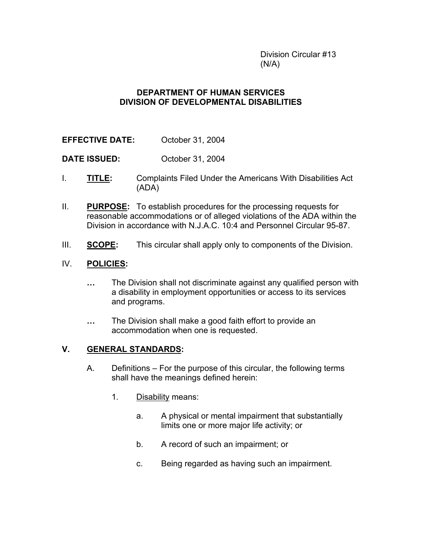Division Circular #13  $(N/A)$ 

## **DEPARTMENT OF HUMAN SERVICES DIVISION OF DEVELOPMENTAL DISABILITIES**

**EFFECTIVE DATE:** October 31, 2004

**DATE ISSUED:** October 31, 2004

- I. **TITLE:** Complaints Filed Under the Americans With Disabilities Act (ADA)
- II. **PURPOSE:** To establish procedures for the processing requests for reasonable accommodations or of alleged violations of the ADA within the Division in accordance with N.J.A.C. 10:4 and Personnel Circular 95-87.
- III. **SCOPE:** This circular shall apply only to components of the Division.

### IV. **POLICIES:**

- **…** The Division shall not discriminate against any qualified person with a disability in employment opportunities or access to its services and programs.
- **…** The Division shall make a good faith effort to provide an accommodation when one is requested.

### **V. GENERAL STANDARDS:**

- A. Definitions For the purpose of this circular, the following terms shall have the meanings defined herein:
	- 1. Disability means:
		- a. A physical or mental impairment that substantially limits one or more major life activity; or
		- b. A record of such an impairment; or
		- c. Being regarded as having such an impairment.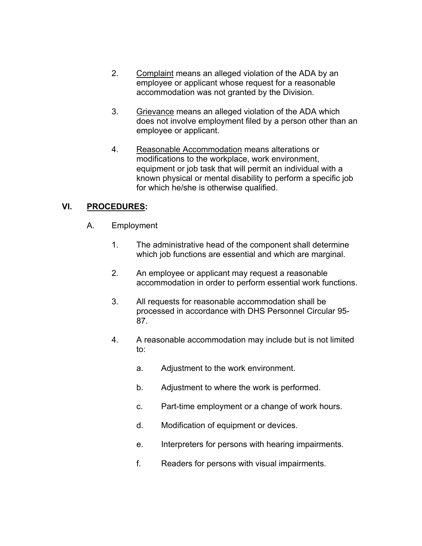- 2. Complaint means an alleged violation of the ADA by an employee or applicant whose request for a reasonable accommodation was not granted by the Division.
- 3. Grievance means an alleged violation of the ADA which does not involve employment filed by a person other than an employee or applicant.
- 4. Reasonable Accommodation means alterations or modifications to the workplace, work environment, equipment or job task that will permit an individual with a known physical or mental disability to perform a specific job for which he/she is otherwise qualified.

# **VI. PROCEDURES:**

- A. Employment
	- 1. The administrative head of the component shall determine which job functions are essential and which are marginal.
	- 2. An employee or applicant may request a reasonable accommodation in order to perform essential work functions.
	- 3. All requests for reasonable accommodation shall be processed in accordance with DHS Personnel Circular 95- 87.
	- 4. A reasonable accommodation may include but is not limited to:
		- a. Adjustment to the work environment.
		- b. Adjustment to where the work is performed.
		- c. Part-time employment or a change of work hours.
		- d. Modification of equipment or devices.
		- e. Interpreters for persons with hearing impairments.
		- f. Readers for persons with visual impairments.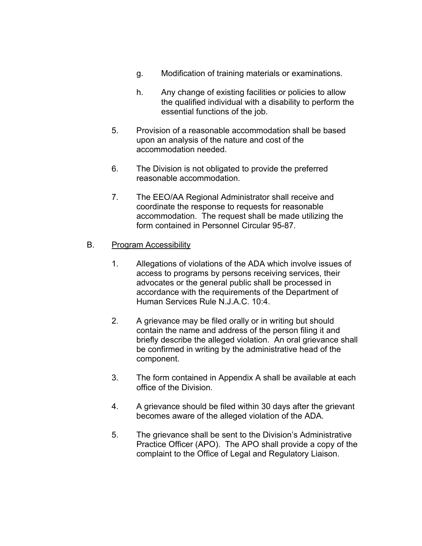- g. Modification of training materials or examinations.
- h. Any change of existing facilities or policies to allow the qualified individual with a disability to perform the essential functions of the job.
- 5. Provision of a reasonable accommodation shall be based upon an analysis of the nature and cost of the accommodation needed.
- 6. The Division is not obligated to provide the preferred reasonable accommodation.
- 7. The EEO/AA Regional Administrator shall receive and coordinate the response to requests for reasonable accommodation. The request shall be made utilizing the form contained in Personnel Circular 95-87.

## B. Program Accessibility

- 1. Allegations of violations of the ADA which involve issues of access to programs by persons receiving services, their advocates or the general public shall be processed in accordance with the requirements of the Department of Human Services Rule N.J.A.C. 10:4.
- 2. A grievance may be filed orally or in writing but should contain the name and address of the person filing it and briefly describe the alleged violation. An oral grievance shall be confirmed in writing by the administrative head of the component.
- 3. The form contained in Appendix A shall be available at each office of the Division.
- 4. A grievance should be filed within 30 days after the grievant becomes aware of the alleged violation of the ADA.
- 5. The grievance shall be sent to the Division's Administrative Practice Officer (APO). The APO shall provide a copy of the complaint to the Office of Legal and Regulatory Liaison.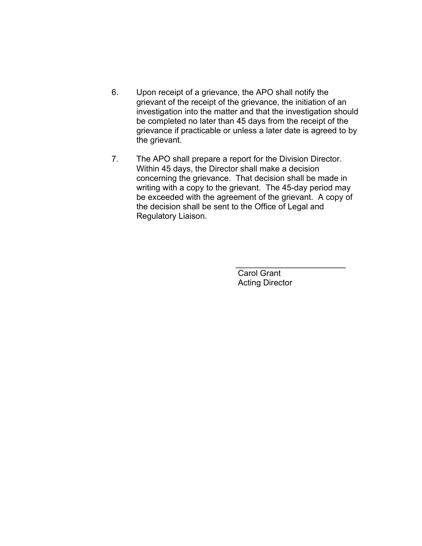- 6. Upon receipt of a grievance, the APO shall notify the grievant of the receipt of the grievance, the initiation of an investigation into the matter and that the investigation should be completed no later than 45 days from the receipt of the grievance if practicable or unless a later date is agreed to by the grievant.
- 7. The APO shall prepare a report for the Division Director. Within 45 days, the Director shall make a decision concerning the grievance. That decision shall be made in writing with a copy to the grievant. The 45-day period may be exceeded with the agreement of the grievant. A copy of the decision shall be sent to the Office of Legal and Regulatory Liaison.

 $\mathcal{L}_\text{max} = \mathcal{L}_\text{max} = \mathcal{L}_\text{max} = \mathcal{L}_\text{max} = \mathcal{L}_\text{max} = \mathcal{L}_\text{max} = \mathcal{L}_\text{max}$ 

 Carol Grant Acting Director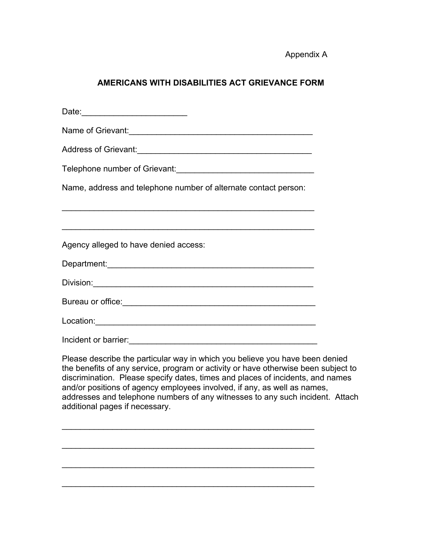Appendix A

# **AMERICANS WITH DISABILITIES ACT GRIEVANCE FORM**

| Date: ____________________________                                                                                                                                                                                                                                                                                                                                                                                                                  |  |
|-----------------------------------------------------------------------------------------------------------------------------------------------------------------------------------------------------------------------------------------------------------------------------------------------------------------------------------------------------------------------------------------------------------------------------------------------------|--|
|                                                                                                                                                                                                                                                                                                                                                                                                                                                     |  |
|                                                                                                                                                                                                                                                                                                                                                                                                                                                     |  |
|                                                                                                                                                                                                                                                                                                                                                                                                                                                     |  |
| Name, address and telephone number of alternate contact person:                                                                                                                                                                                                                                                                                                                                                                                     |  |
|                                                                                                                                                                                                                                                                                                                                                                                                                                                     |  |
| <u> 1989 - Johann Stoff, amerikansk politiker (d. 1989)</u>                                                                                                                                                                                                                                                                                                                                                                                         |  |
| Agency alleged to have denied access:                                                                                                                                                                                                                                                                                                                                                                                                               |  |
|                                                                                                                                                                                                                                                                                                                                                                                                                                                     |  |
|                                                                                                                                                                                                                                                                                                                                                                                                                                                     |  |
|                                                                                                                                                                                                                                                                                                                                                                                                                                                     |  |
|                                                                                                                                                                                                                                                                                                                                                                                                                                                     |  |
|                                                                                                                                                                                                                                                                                                                                                                                                                                                     |  |
| Please describe the particular way in which you believe you have been denied<br>the benefits of any service, program or activity or have otherwise been subject to<br>discrimination. Please specify dates, times and places of incidents, and names<br>and/or positions of agency employees involved, if any, as well as names,<br>addresses and telephone numbers of any witnesses to any such incident. Attach<br>additional pages if necessary. |  |
|                                                                                                                                                                                                                                                                                                                                                                                                                                                     |  |
|                                                                                                                                                                                                                                                                                                                                                                                                                                                     |  |
|                                                                                                                                                                                                                                                                                                                                                                                                                                                     |  |

\_\_\_\_\_\_\_\_\_\_\_\_\_\_\_\_\_\_\_\_\_\_\_\_\_\_\_\_\_\_\_\_\_\_\_\_\_\_\_\_\_\_\_\_\_\_\_\_\_\_\_\_\_\_\_